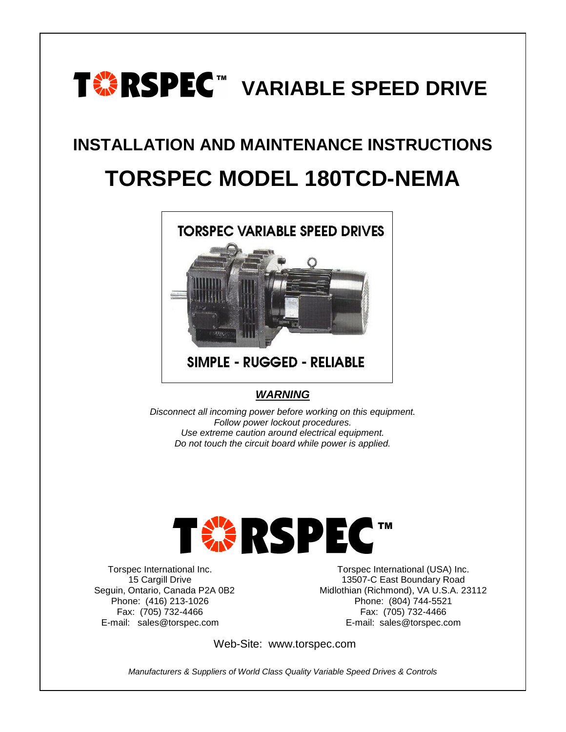# **EXTRISPEC WARIABLE SPEED DRIVE**

# **INSTALLATION AND MAINTENANCE INSTRUCTIONS TORSPEC MODEL 180TCD-NEMA**



#### *WARNING*

*Disconnect all incoming power before working on this equipment. Follow power lockout procedures. Use extreme caution around electrical equipment. Do not touch the circuit board while power is applied.*

# TWRSPECT

Torspec International Inc. 15 Cargill Drive Seguin, Ontario, Canada P2A 0B2 Phone: (416) 213-1026 Fax: (705) 732-4466 E-mail: sales@torspec.com

Torspec International (USA) Inc. 13507-C East Boundary Road Midlothian (Richmond), VA U.S.A. 23112 Phone: (804) 744-5521 Fax: (705) 732-4466 E-mail: sales@torspec.com

Web-Site: www.torspec.com

*Manufacturers & Suppliers of World Class Quality Variable Speed Drives & Controls*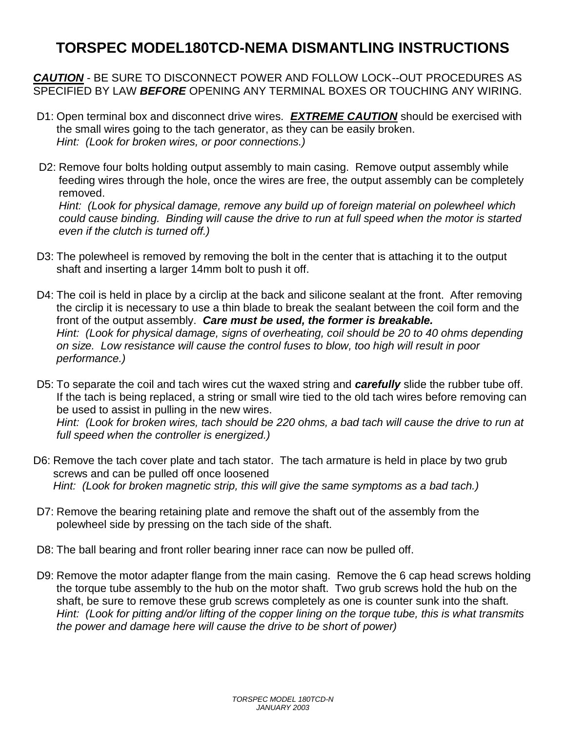## **TORSPEC MODEL180TCD-NEMA DISMANTLING INSTRUCTIONS**

*CAUTION* - BE SURE TO DISCONNECT POWER AND FOLLOW LOCK--OUT PROCEDURES AS SPECIFIED BY LAW *BEFORE* OPENING ANY TERMINAL BOXES OR TOUCHING ANY WIRING.

- D1: Open terminal box and disconnect drive wires*. EXTREME CAUTION* should be exercised with the small wires going to the tach generator, as they can be easily broken. *Hint: (Look for broken wires, or poor connections.)*
- D2: Remove four bolts holding output assembly to main casing. Remove output assembly while feeding wires through the hole, once the wires are free, the output assembly can be completely removed.

*Hint: (Look for physical damage, remove any build up of foreign material on polewheel which could cause binding. Binding will cause the drive to run at full speed when the motor is started even if the clutch is turned off.)*

- D3: The polewheel is removed by removing the bolt in the center that is attaching it to the output shaft and inserting a larger 14mm bolt to push it off.
- D4: The coil is held in place by a circlip at the back and silicone sealant at the front. After removing the circlip it is necessary to use a thin blade to break the sealant between the coil form and the front of the output assembly. *Care must be used, the former is breakable. Hint: (Look for physical damage, signs of overheating, coil should be 20 to 40 ohms depending on size. Low resistance will cause the control fuses to blow, too high will result in poor performance.)*
- D5: To separate the coil and tach wires cut the waxed string and *carefully* slide the rubber tube off. If the tach is being replaced, a string or small wire tied to the old tach wires before removing can be used to assist in pulling in the new wires. *Hint: (Look for broken wires, tach should be 220 ohms, a bad tach will cause the drive to run at full speed when the controller is energized.)*
- D6: Remove the tach cover plate and tach stator. The tach armature is held in place by two grub screws and can be pulled off once loosened *Hint: (Look for broken magnetic strip, this will give the same symptoms as a bad tach.)*
- D7: Remove the bearing retaining plate and remove the shaft out of the assembly from the polewheel side by pressing on the tach side of the shaft.
- D8: The ball bearing and front roller bearing inner race can now be pulled off.
- D9: Remove the motor adapter flange from the main casing. Remove the 6 cap head screws holding the torque tube assembly to the hub on the motor shaft. Two grub screws hold the hub on the shaft, be sure to remove these grub screws completely as one is counter sunk into the shaft. *Hint: (Look for pitting and/or lifting of the copper lining on the torque tube, this is what transmits the power and damage here will cause the drive to be short of power)*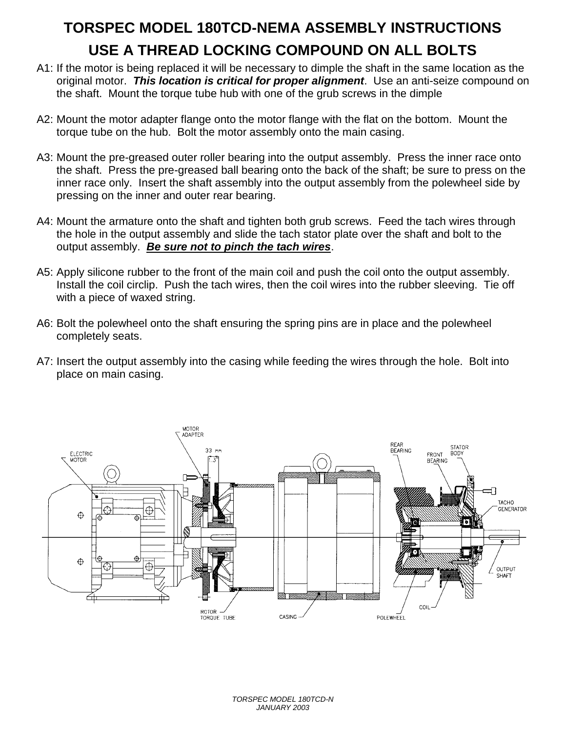# **TORSPEC MODEL 180TCD-NEMA ASSEMBLY INSTRUCTIONS USE A THREAD LOCKING COMPOUND ON ALL BOLTS**

- A1: If the motor is being replaced it will be necessary to dimple the shaft in the same location as the original motor. *This location is critical for proper alignment*. Use an anti-seize compound on the shaft. Mount the torque tube hub with one of the grub screws in the dimple
- A2: Mount the motor adapter flange onto the motor flange with the flat on the bottom. Mount the torque tube on the hub. Bolt the motor assembly onto the main casing.
- A3: Mount the pre-greased outer roller bearing into the output assembly. Press the inner race onto the shaft. Press the pre-greased ball bearing onto the back of the shaft; be sure to press on the inner race only. Insert the shaft assembly into the output assembly from the polewheel side by pressing on the inner and outer rear bearing.
- A4: Mount the armature onto the shaft and tighten both grub screws. Feed the tach wires through the hole in the output assembly and slide the tach stator plate over the shaft and bolt to the output assembly. *Be sure not to pinch the tach wires*.
- A5: Apply silicone rubber to the front of the main coil and push the coil onto the output assembly. Install the coil circlip. Push the tach wires, then the coil wires into the rubber sleeving. Tie off with a piece of waxed string.
- A6: Bolt the polewheel onto the shaft ensuring the spring pins are in place and the polewheel completely seats.
- A7: Insert the output assembly into the casing while feeding the wires through the hole. Bolt into place on main casing.

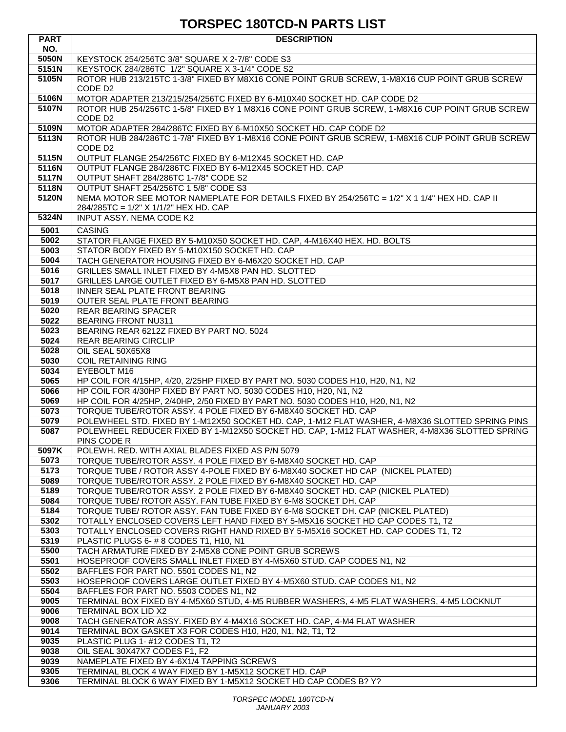## **TORSPEC 180TCD-N PARTS LIST**

| <b>PART</b>  | <b>DESCRIPTION</b>                                                                                                                                               |
|--------------|------------------------------------------------------------------------------------------------------------------------------------------------------------------|
| NO.          |                                                                                                                                                                  |
| 5050N        | KEYSTOCK 254/256TC 3/8" SQUARE X 2-7/8" CODE S3                                                                                                                  |
| 5151N        | KEYSTOCK 284/286TC 1/2" SQUARE X 3-1/4" CODE S2                                                                                                                  |
| 5105N        | ROTOR HUB 213/215TC 1-3/8" FIXED BY M8X16 CONE POINT GRUB SCREW, 1-M8X16 CUP POINT GRUB SCREW<br>CODE D <sub>2</sub>                                             |
| 5106N        | MOTOR ADAPTER 213/215/254/256TC FIXED BY 6-M10X40 SOCKET HD. CAP CODE D2                                                                                         |
| 5107N        | ROTOR HUB 254/256TC 1-5/8" FIXED BY 1 M8X16 CONE POINT GRUB SCREW, 1-M8X16 CUP POINT GRUB SCREW                                                                  |
|              | CODE D <sub>2</sub>                                                                                                                                              |
| 5109N        | MOTOR ADAPTER 284/286TC FIXED BY 6-M10X50 SOCKET HD. CAP CODE D2                                                                                                 |
| 5113N        | ROTOR HUB 284/286TC 1-7/8" FIXED BY 1-M8X16 CONE POINT GRUB SCREW, 1-M8X16 CUP POINT GRUB SCREW                                                                  |
|              | CODE D <sub>2</sub>                                                                                                                                              |
| 5115N        | OUTPUT FLANGE 254/256TC FIXED BY 6-M12X45 SOCKET HD. CAP                                                                                                         |
| 5116N        | OUTPUT FLANGE 284/286TC FIXED BY 6-M12X45 SOCKET HD. CAP                                                                                                         |
| 5117N        | OUTPUT SHAFT 284/286TC 1-7/8" CODE S2                                                                                                                            |
| 5118N        | OUTPUT SHAFT 254/256TC 1 5/8" CODE S3                                                                                                                            |
| 5120N        | NEMA MOTOR SEE MOTOR NAMEPLATE FOR DETAILS FIXED BY 254/256TC = 1/2" X 1 1/4" HEX HD. CAP II<br>284/285TC = 1/2" X 1/1/2" HEX HD. CAP                            |
| 5324N        | <b>INPUT ASSY. NEMA CODE K2</b>                                                                                                                                  |
|              |                                                                                                                                                                  |
| 5001         | <b>CASING</b>                                                                                                                                                    |
| 5002<br>5003 | STATOR FLANGE FIXED BY 5-M10X50 SOCKET HD. CAP, 4-M16X40 HEX. HD. BOLTS<br>STATOR BODY FIXED BY 5-M10X150 SOCKET HD. CAP                                         |
| 5004         | TACH GENERATOR HOUSING FIXED BY 6-M6X20 SOCKET HD. CAP                                                                                                           |
| 5016         | GRILLES SMALL INLET FIXED BY 4-M5X8 PAN HD. SLOTTED                                                                                                              |
| 5017         | GRILLES LARGE OUTLET FIXED BY 6-M5X8 PAN HD. SLOTTED                                                                                                             |
| 5018         | <b>INNER SEAL PLATE FRONT BEARING</b>                                                                                                                            |
| 5019         | <b>OUTER SEAL PLATE FRONT BEARING</b>                                                                                                                            |
| 5020         | REAR BEARING SPACER                                                                                                                                              |
| 5022         | <b>BEARING FRONT NU311</b>                                                                                                                                       |
| 5023         | BEARING REAR 6212Z FIXED BY PART NO. 5024                                                                                                                        |
| 5024         | <b>REAR BEARING CIRCLIP</b>                                                                                                                                      |
| 5028         | OIL SEAL 50X65X8                                                                                                                                                 |
| 5030         | <b>COIL RETAINING RING</b>                                                                                                                                       |
| 5034         | EYEBOLT M16                                                                                                                                                      |
| 5065         | HP COIL FOR 4/15HP, 4/20, 2/25HP FIXED BY PART NO. 5030 CODES H10, H20, N1, N2                                                                                   |
| 5066<br>5069 | HP COIL FOR 4/30HP FIXED BY PART NO. 5030 CODES H10, H20, N1, N2<br>HP COIL FOR 4/25HP, 2/40HP, 2/50 FIXED BY PART NO. 5030 CODES H10, H20, N1, N2               |
| 5073         | TORQUE TUBE/ROTOR ASSY. 4 POLE FIXED BY 6-M8X40 SOCKET HD. CAP                                                                                                   |
| 5079         | POLEWHEEL STD. FIXED BY 1-M12X50 SOCKET HD. CAP, 1-M12 FLAT WASHER, 4-M8X36 SLOTTED SPRING PINS                                                                  |
| 5087         | POLEWHEEL REDUCER FIXED BY 1-M12X50 SOCKET HD. CAP, 1-M12 FLAT WASHER, 4-M8X36 SLOTTED SPRING                                                                    |
|              | PINS CODE R                                                                                                                                                      |
| 5097K        | POLEWH. RED. WITH AXIAL BLADES FIXED AS P/N 5079                                                                                                                 |
| 5073         | TORQUE TUBE/ROTOR ASSY. 4 POLE FIXED BY 6-M8X40 SOCKET HD. CAP                                                                                                   |
| 5173         | TORQUE TUBE / ROTOR ASSY 4-POLE FIXED BY 6-M8X40 SOCKET HD CAP (NICKEL PLATED)                                                                                   |
| 5089         | TORQUE TUBE/ROTOR ASSY. 2 POLE FIXED BY 6-M8X40 SOCKET HD. CAP                                                                                                   |
| 5189         | TORQUE TUBE/ROTOR ASSY. 2 POLE FIXED BY 6-M8X40 SOCKET HD. CAP (NICKEL PLATED)                                                                                   |
| 5084         | TORQUE TUBE/ ROTOR ASSY. FAN TUBE FIXED BY 6-M8 SOCKET DH. CAP                                                                                                   |
| 5184<br>5302 | TORQUE TUBE/ ROTOR ASSY. FAN TUBE FIXED BY 6-M8 SOCKET DH. CAP (NICKEL PLATED)                                                                                   |
| 5303         | TOTALLY ENCLOSED COVERS LEFT HAND FIXED BY 5-M5X16 SOCKET HD CAP CODES T1, T2<br>TOTALLY ENCLOSED COVERS RIGHT HAND RIXED BY 5-M5X16 SOCKET HD. CAP CODES T1, T2 |
| 5319         | PLASTIC PLUGS 6-#8 CODES T1, H10, N1                                                                                                                             |
| 5500         | TACH ARMATURE FIXED BY 2-M5X8 CONE POINT GRUB SCREWS                                                                                                             |
| 5501         | HOSEPROOF COVERS SMALL INLET FIXED BY 4-M5X60 STUD. CAP CODES N1, N2                                                                                             |
| 5502         | BAFFLES FOR PART NO. 5501 CODES N1, N2                                                                                                                           |
| 5503         | HOSEPROOF COVERS LARGE OUTLET FIXED BY 4-M5X60 STUD. CAP CODES N1, N2                                                                                            |
| 5504         | BAFFLES FOR PART NO. 5503 CODES N1, N2                                                                                                                           |
| 9005         | TERMINAL BOX FIXED BY 4-M5X60 STUD, 4-M5 RUBBER WASHERS, 4-M5 FLAT WASHERS, 4-M5 LOCKNUT                                                                         |
| 9006         | TERMINAL BOX LID X2                                                                                                                                              |
| 9008         | TACH GENERATOR ASSY. FIXED BY 4-M4X16 SOCKET HD. CAP, 4-M4 FLAT WASHER                                                                                           |
| 9014         | TERMINAL BOX GASKET X3 FOR CODES H10, H20, N1, N2, T1, T2                                                                                                        |
| 9035         | PLASTIC PLUG 1- #12 CODES T1, T2                                                                                                                                 |
| 9038<br>9039 | OIL SEAL 30X47X7 CODES F1, F2<br>NAMEPLATE FIXED BY 4-6X1/4 TAPPING SCREWS                                                                                       |
| 9305         | TERMINAL BLOCK 4 WAY FIXED BY 1-M5X12 SOCKET HD. CAP                                                                                                             |
| 9306         | TERMINAL BLOCK 6 WAY FIXED BY 1-M5X12 SOCKET HD CAP CODES B? Y?                                                                                                  |
|              |                                                                                                                                                                  |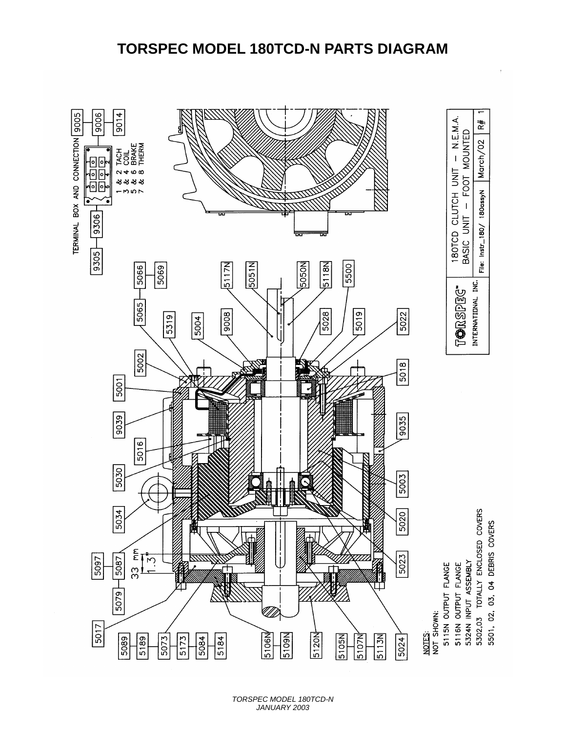

*TORSPEC MODEL 180TCD-N JANUARY 2003*